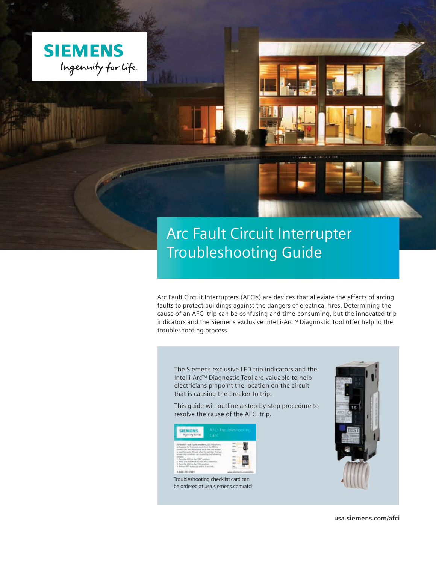

# Arc Fault Circuit Interrupter Troubleshooting Guide

Arc Fault Circuit Interrupters (AFCIs) are devices that alleviate the effects of arcing faults to protect buildings against the dangers of electrical fires. Determining the cause of an AFCI trip can be confusing and time-consuming, but the innovated trip indicators and the Siemens exclusive Intelli-Arc™ Diagnostic Tool offer help to the troubleshooting process.

The Siemens exclusive LED trip indicators and the Intelli-Arc™ Diagnostic Tool are valuable to help electricians pinpoint the location on the circuit that is causing the breaker to trip.

This guide will outline a step-by-step procedure to resolve the cause of the AFCI trip.





**usa.siemens.com/afci**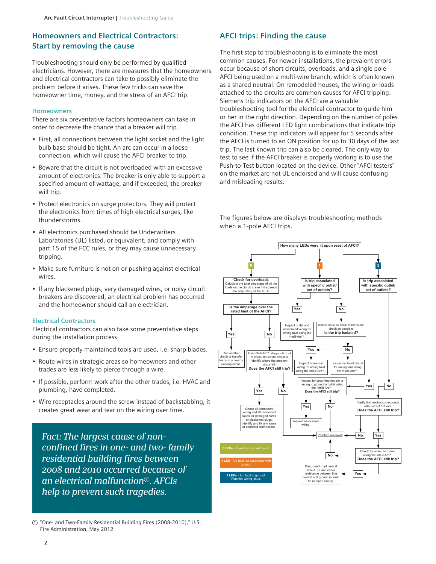## **Homeowners and Electrical Contractors: Start by removing the cause**

Troubleshooting should only be performed by qualified electricians. However, there are measures that the homeowners and electrical contractors can take to possibly eliminate the problem before it arises. These few tricks can save the homeowner time, money, and the stress of an AFCI trip.

#### **Homeowners**

There are six preventative factors homeowners can take in order to decrease the chance that a breaker will trip.

- First, all connections between the light socket and the light bulb base should be tight. An arc can occur in a loose connection, which will cause the AFCI breaker to trip.
- Beware that the circuit is not overloaded with an excessive amount of electronics. The breaker is only able to support a specified amount of wattage, and if exceeded, the breaker will trip.
- Protect electronics on surge protectors. They will protect the electronics from times of high electrical surges, like thunderstorms.
- All electronics purchased should be Underwriters Laboratories (UL) listed, or equivalent, and comply with part 15 of the FCC rules, or they may cause unnecessary tripping.
- Make sure furniture is not on or pushing against electrical wires.
- If any blackened plugs, very damaged wires, or noisy circuit breakers are discovered, an electrical problem has occurred and the homeowner should call an electrician.

#### **Electrical Contractors**

Electrical contractors can also take some preventative steps during the installation process.

- Ensure properly maintained tools are used, i.e. sharp blades.
- Route wires in strategic areas so homeowners and other trades are less likely to pierce through a wire.
- If possible, perform work after the other trades, i.e. HVAC and plumbing, have completed.
- Wire receptacles around the screw instead of backstabbing; it creates great wear and tear on the wiring over time.

*Fact: The largest cause of nonconfined fires in one- and two- family residential building fires between 2008 and 2010 occurred because of an electrical malfunction*a*. AFCIs help to prevent such tragedies.*

# **AFCI trips: Finding the cause**

The first step to troubleshooting is to eliminate the most common causes. For newer installations, the prevalent errors occur because of short circuits, overloads, and a single pole AFCI being used on a multi-wire branch, which is often known as a shared neutral. On remodeled houses, the wiring or loads attached to the circuits are common causes for AFCI tripping. Siemens trip indicators on the AFCI are a valuable troubleshooting tool for the electrical contractor to guide him or her in the right direction. Depending on the number of poles the AFCI has different LED light combinations that indicate trip condition. These trip indicators will appear for 5 seconds after the AFCI is turned to an ON position for up to 30 days of the last trip. The last known trip can also be cleared. The only way to test to see if the AFCI breaker is properly working is to use the Push-to-Test button located on the device. Other "AFCI testers" on the market are not UL endorsed and will cause confusing and misleading results.

The figures below are displays troubleshooting methods when a 1-pole AFCI trips.



a "One- and Two-Family Residential Building Fires (2008-2010)," U.S. Fire Administration, May 2012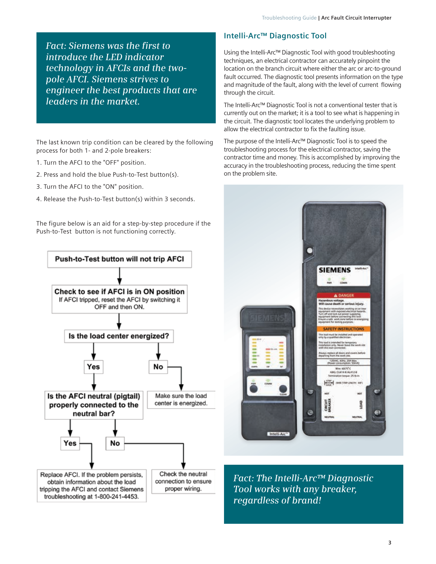*Fact: Siemens was the first to introduce the LED indicator technology in AFCIs and the twopole AFCI. Siemens strives to engineer the best products that are leaders in the market.*

The last known trip condition can be cleared by the following process for both 1- and 2-pole breakers:

- 1. Turn the AFCI to the "OFF" position.
- 2. Press and hold the blue Push-to-Test button(s).
- 3. Turn the AFCI to the "ON" position.
- 4. Release the Push-to-Test button(s) within 3 seconds.

The figure below is an aid for a step-by-step procedure if the Push-to-Test button is not functioning correctly.



# **Intelli-Arc™ Diagnostic Tool**

Using the Intelli-Arc™ Diagnostic Tool with good troubleshooting techniques, an electrical contractor can accurately pinpoint the location on the branch circuit where either the arc or arc-to-ground fault occurred. The diagnostic tool presents information on the type and magnitude of the fault, along with the level of current flowing through the circuit.

The Intelli-Arc™ Diagnostic Tool is not a conventional tester that is currently out on the market; it is a tool to see what is happening in the circuit. The diagnostic tool locates the underlying problem to allow the electrical contractor to fix the faulting issue.

The purpose of the Intelli-Arc™ Diagnostic Tool is to speed the troubleshooting process for the electrical contractor, saving the contractor time and money. This is accomplished by improving the accuracy in the troubleshooting process, reducing the time spent on the problem site.



*Fact: The Intelli-Arc™ Diagnostic Tool works with any breaker, regardless of brand!*